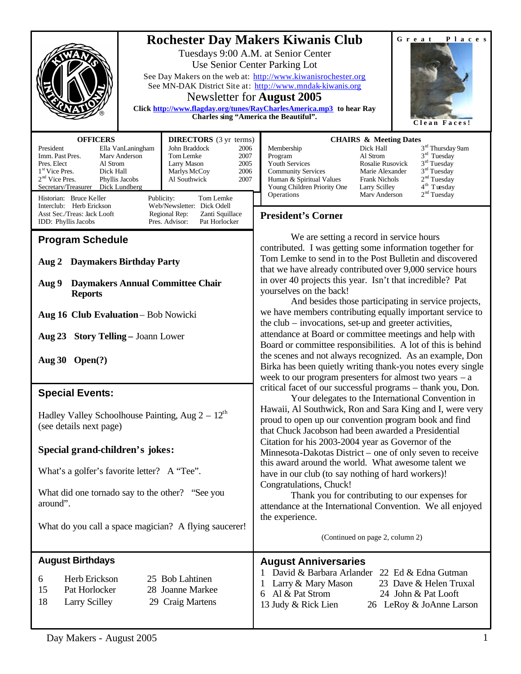| <b>Rochester Day Makers Kiwanis Club</b><br>${\bf G}$ r e a t<br>Places<br>Tuesdays 9:00 A.M. at Senior Center<br>Use Senior Center Parking Lot<br>See Day Makers on the web at: http://www.kiwanisrochester.org<br>See MN-DAK District Site at: http://www.mndak-kiwanis.org<br>Newsletter for <b>August</b> 2005<br>Click http://www.flagday.org/tunes/RayCharlesAmerica.mp3 to hear Ray<br>Charles sing "America the Beautiful".<br>Clean Faces!                                                                    |                                                                                                                                                                                                                                                                                                                                                                                                                                                                                                      |  |  |
|------------------------------------------------------------------------------------------------------------------------------------------------------------------------------------------------------------------------------------------------------------------------------------------------------------------------------------------------------------------------------------------------------------------------------------------------------------------------------------------------------------------------|------------------------------------------------------------------------------------------------------------------------------------------------------------------------------------------------------------------------------------------------------------------------------------------------------------------------------------------------------------------------------------------------------------------------------------------------------------------------------------------------------|--|--|
| <b>OFFICERS</b><br><b>DIRECTORS</b> (3 yr terms)<br>John Braddock<br>President<br>Ella VanLaningham<br>2006<br>Imm. Past Pres.<br>Tom Lemke<br>2007<br>Mary Anderson<br>Pres. Elect<br>Al Strom<br>Larry Mason<br>2005<br>1 <sup>st</sup> Vice Pres.<br>Dick Hall<br>Marlys McCoy<br>2006<br>2 <sup>nd</sup> Vice Pres.<br>Phyllis Jacobs<br>Al Southwick<br>2007<br>Secretary/Treasurer Dick Lundberg<br>Historian: Bruce Keller<br>Publicity:<br>Tom Lemke<br>Interclub: Herb Erickson<br>Web/Newsletter: Dick Odell | <b>CHAIRS &amp; Meeting Dates</b><br>3 <sup>rd</sup> Thursday 9am<br>Membership<br>Dick Hall<br>3 <sup>rd</sup> Tuesday<br>Al Strom<br>Program<br>3 <sup>rd</sup> Tuesday<br>Rosalie Rusovick<br>Youth Services<br>$3rd$ Tuesday<br>Marie Alexander<br><b>Community Services</b><br>2 <sup>nd</sup> Tuesday<br>Human & Spiritual Values<br><b>Frank Nichols</b><br>4 <sup>th</sup> Tuesday<br>Young Children Priority One<br>Larry Scilley<br>2 <sup>nd</sup> Tuesday<br>Operations<br>Mary Anderson |  |  |
| Asst Sec./Treas: Jack Looft<br>Regional Rep:<br>Zanti Squillace<br>Pres. Advisor:<br><b>IDD</b> : Phyllis Jacobs<br>Pat Horlocker<br><b>Program Schedule</b>                                                                                                                                                                                                                                                                                                                                                           | <b>President's Corner</b><br>We are setting a record in service hours<br>contributed. I was getting some information together for<br>Tom Lemke to send in to the Post Bulletin and discovered<br>that we have already contributed over 9,000 service hours<br>in over 40 projects this year. Isn't that incredible? Pat<br>yourselves on the back!<br>And besides those participating in service projects,                                                                                           |  |  |
| <b>Daymakers Birthday Party</b><br>Aug $2$<br><b>Daymakers Annual Committee Chair</b><br>Aug 9<br><b>Reports</b>                                                                                                                                                                                                                                                                                                                                                                                                       |                                                                                                                                                                                                                                                                                                                                                                                                                                                                                                      |  |  |
| Aug 16 Club Evaluation - Bob Nowicki                                                                                                                                                                                                                                                                                                                                                                                                                                                                                   | we have members contributing equally important service to<br>the $club - invocations$ , set-up and greeter activities,                                                                                                                                                                                                                                                                                                                                                                               |  |  |
| <b>Story Telling - Joann Lower</b><br>Aug $23$<br>Aug $30$ Open(?)                                                                                                                                                                                                                                                                                                                                                                                                                                                     | attendance at Board or committee meetings and help with<br>Board or committee responsibilities. A lot of this is behind<br>the scenes and not always recognized. As an example, Don<br>Birka has been quietly writing thank-you notes every single<br>week to our program presenters for almost two years $-$ a                                                                                                                                                                                      |  |  |
| <b>Special Events:</b>                                                                                                                                                                                                                                                                                                                                                                                                                                                                                                 | critical facet of our successful programs - thank you, Don.<br>Your delegates to the International Convention in                                                                                                                                                                                                                                                                                                                                                                                     |  |  |
| Hadley Valley Schoolhouse Painting, Aug $2 - 12^{th}$<br>(see details next page)                                                                                                                                                                                                                                                                                                                                                                                                                                       | Hawaii, Al Southwick, Ron and Sara King and I, were very<br>proud to open up our convention program book and find<br>that Chuck Jacobson had been awarded a Presidential                                                                                                                                                                                                                                                                                                                             |  |  |
| Special grand-children's jokes:                                                                                                                                                                                                                                                                                                                                                                                                                                                                                        | Citation for his 2003-2004 year as Governor of the<br>Minnesota-Dakotas District – one of only seven to receive                                                                                                                                                                                                                                                                                                                                                                                      |  |  |
| What's a golfer's favorite letter? A "Tee".                                                                                                                                                                                                                                                                                                                                                                                                                                                                            | this award around the world. What awesome talent we<br>have in our club (to say nothing of hard workers)!<br>Congratulations, Chuck!<br>Thank you for contributing to our expenses for<br>attendance at the International Convention. We all enjoyed<br>the experience.                                                                                                                                                                                                                              |  |  |
| What did one tornado say to the other? "See you<br>around".                                                                                                                                                                                                                                                                                                                                                                                                                                                            |                                                                                                                                                                                                                                                                                                                                                                                                                                                                                                      |  |  |
| What do you call a space magician? A flying saucerer!                                                                                                                                                                                                                                                                                                                                                                                                                                                                  | (Continued on page 2, column 2)                                                                                                                                                                                                                                                                                                                                                                                                                                                                      |  |  |
| <b>August Birthdays</b><br>Herb Erickson<br>25 Bob Lahtinen<br>6<br>15<br>Pat Horlocker<br>28 Joanne Markee<br>18<br><b>Larry Scilley</b><br>29 Craig Martens                                                                                                                                                                                                                                                                                                                                                          | <b>August Anniversaries</b><br>David & Barbara Arlander 22 Ed & Edna Gutman<br>Larry & Mary Mason<br>23 Dave & Helen Truxal<br>Al & Pat Strom<br>24 John & Pat Looft<br>6<br>13 Judy & Rick Lien<br>26 LeRoy & JoAnne Larson                                                                                                                                                                                                                                                                         |  |  |